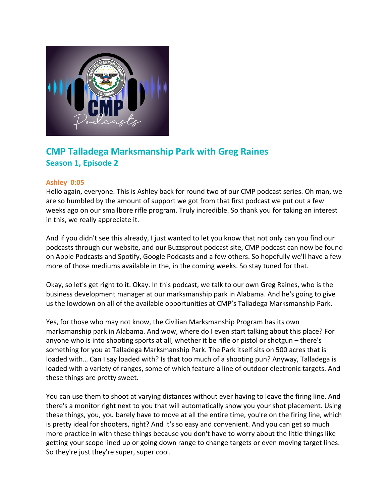

# **CMP Talladega Marksmanship Park with Greg Raines Season 1, Episode 2**

# **Ashley 0:05**

Hello again, everyone. This is Ashley back for round two of our CMP podcast series. Oh man, we are so humbled by the amount of support we got from that first podcast we put out a few weeks ago on our smallbore rifle program. Truly incredible. So thank you for taking an interest in this, we really appreciate it.

And if you didn't see this already, I just wanted to let you know that not only can you find our podcasts through our website, and our Buzzsprout podcast site, CMP podcast can now be found on Apple Podcasts and Spotify, Google Podcasts and a few others. So hopefully we'll have a few more of those mediums available in the, in the coming weeks. So stay tuned for that.

Okay, so let's get right to it. Okay. In this podcast, we talk to our own Greg Raines, who is the business development manager at our marksmanship park in Alabama. And he's going to give us the lowdown on all of the available opportunities at CMP's Talladega Marksmanship Park.

Yes, for those who may not know, the Civilian Marksmanship Program has its own marksmanship park in Alabama. And wow, where do I even start talking about this place? For anyone who is into shooting sports at all, whether it be rifle or pistol or shotgun – there's something for you at Talladega Marksmanship Park. The Park itself sits on 500 acres that is loaded with… Can I say loaded with? Is that too much of a shooting pun? Anyway, Talladega is loaded with a variety of ranges, some of which feature a line of outdoor electronic targets. And these things are pretty sweet.

You can use them to shoot at varying distances without ever having to leave the firing line. And there's a monitor right next to you that will automatically show you your shot placement. Using these things, you, you barely have to move at all the entire time, you're on the firing line, which is pretty ideal for shooters, right? And it's so easy and convenient. And you can get so much more practice in with these things because you don't have to worry about the little things like getting your scope lined up or going down range to change targets or even moving target lines. So they're just they're super, super cool.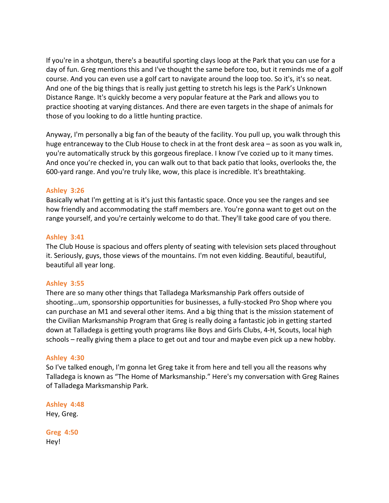If you're in a shotgun, there's a beautiful sporting clays loop at the Park that you can use for a day of fun. Greg mentions this and I've thought the same before too, but it reminds me of a golf course. And you can even use a golf cart to navigate around the loop too. So it's, it's so neat. And one of the big things that is really just getting to stretch his legs is the Park's Unknown Distance Range. It's quickly become a very popular feature at the Park and allows you to practice shooting at varying distances. And there are even targets in the shape of animals for those of you looking to do a little hunting practice.

Anyway, I'm personally a big fan of the beauty of the facility. You pull up, you walk through this huge entranceway to the Club House to check in at the front desk area – as soon as you walk in, you're automatically struck by this gorgeous fireplace. I know I've cozied up to it many times. And once you're checked in, you can walk out to that back patio that looks, overlooks the, the 600-yard range. And you're truly like, wow, this place is incredible. It's breathtaking.

# **Ashley 3:26**

Basically what I'm getting at is it's just this fantastic space. Once you see the ranges and see how friendly and accommodating the staff members are. You're gonna want to get out on the range yourself, and you're certainly welcome to do that. They'll take good care of you there.

# **Ashley 3:41**

The Club House is spacious and offers plenty of seating with television sets placed throughout it. Seriously, guys, those views of the mountains. I'm not even kidding. Beautiful, beautiful, beautiful all year long.

# **Ashley 3:55**

There are so many other things that Talladega Marksmanship Park offers outside of shooting…um, sponsorship opportunities for businesses, a fully-stocked Pro Shop where you can purchase an M1 and several other items. And a big thing that is the mission statement of the Civilian Marksmanship Program that Greg is really doing a fantastic job in getting started down at Talladega is getting youth programs like Boys and Girls Clubs, 4-H, Scouts, local high schools – really giving them a place to get out and tour and maybe even pick up a new hobby.

# **Ashley 4:30**

So I've talked enough, I'm gonna let Greg take it from here and tell you all the reasons why Talladega is known as "The Home of Marksmanship." Here's my conversation with Greg Raines of Talladega Marksmanship Park.

**Ashley 4:48**  Hey, Greg.

**Greg 4:50**  Hey!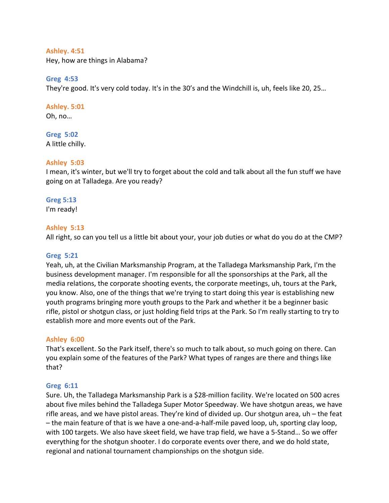### **Ashley. 4:51**

Hey, how are things in Alabama?

## **Greg 4:53**

They're good. It's very cold today. It's in the 30's and the Windchill is, uh, feels like 20, 25…

# **Ashley. 5:01**

Oh, no…

#### **Greg 5:02** A little chilly.

# **Ashley 5:03**

I mean, it's winter, but we'll try to forget about the cold and talk about all the fun stuff we have going on at Talladega. Are you ready?

# **Greg 5:13**

I'm ready!

## **Ashley 5:13**

All right, so can you tell us a little bit about your, your job duties or what do you do at the CMP?

### **Greg 5:21**

Yeah, uh, at the Civilian Marksmanship Program, at the Talladega Marksmanship Park, I'm the business development manager. I'm responsible for all the sponsorships at the Park, all the media relations, the corporate shooting events, the corporate meetings, uh, tours at the Park, you know. Also, one of the things that we're trying to start doing this year is establishing new youth programs bringing more youth groups to the Park and whether it be a beginner basic rifle, pistol or shotgun class, or just holding field trips at the Park. So I'm really starting to try to establish more and more events out of the Park.

### **Ashley 6:00**

That's excellent. So the Park itself, there's so much to talk about, so much going on there. Can you explain some of the features of the Park? What types of ranges are there and things like that?

### **Greg 6:11**

Sure. Uh, the Talladega Marksmanship Park is a \$28-million facility. We're located on 500 acres about five miles behind the Talladega Super Motor Speedway. We have shotgun areas, we have rifle areas, and we have pistol areas. They're kind of divided up. Our shotgun area, uh – the feat – the main feature of that is we have a one-and-a-half-mile paved loop, uh, sporting clay loop, with 100 targets. We also have skeet field, we have trap field, we have a 5-Stand… So we offer everything for the shotgun shooter. I do corporate events over there, and we do hold state, regional and national tournament championships on the shotgun side.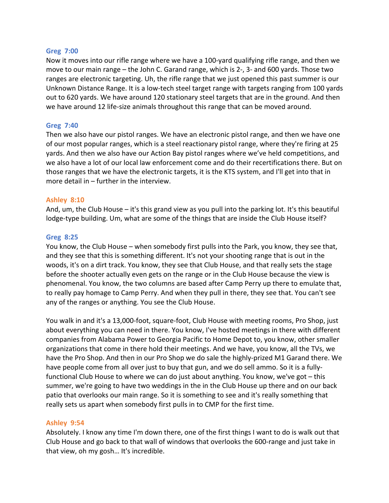## **Greg 7:00**

Now it moves into our rifle range where we have a 100-yard qualifying rifle range, and then we move to our main range – the John C. Garand range, which is 2-, 3- and 600 yards. Those two ranges are electronic targeting. Uh, the rifle range that we just opened this past summer is our Unknown Distance Range. It is a low-tech steel target range with targets ranging from 100 yards out to 620 yards. We have around 120 stationary steel targets that are in the ground. And then we have around 12 life-size animals throughout this range that can be moved around.

## **Greg 7:40**

Then we also have our pistol ranges. We have an electronic pistol range, and then we have one of our most popular ranges, which is a steel reactionary pistol range, where they're firing at 25 yards. And then we also have our Action Bay pistol ranges where we've held competitions, and we also have a lot of our local law enforcement come and do their recertifications there. But on those ranges that we have the electronic targets, it is the KTS system, and I'll get into that in more detail in – further in the interview.

## **Ashley 8:10**

And, um, the Club House – it's this grand view as you pull into the parking lot. It's this beautiful lodge-type building. Um, what are some of the things that are inside the Club House itself?

## **Greg 8:25**

You know, the Club House – when somebody first pulls into the Park, you know, they see that, and they see that this is something different. It's not your shooting range that is out in the woods, it's on a dirt track. You know, they see that Club House, and that really sets the stage before the shooter actually even gets on the range or in the Club House because the view is phenomenal. You know, the two columns are based after Camp Perry up there to emulate that, to really pay homage to Camp Perry. And when they pull in there, they see that. You can't see any of the ranges or anything. You see the Club House.

You walk in and it's a 13,000-foot, square-foot, Club House with meeting rooms, Pro Shop, just about everything you can need in there. You know, I've hosted meetings in there with different companies from Alabama Power to Georgia Pacific to Home Depot to, you know, other smaller organizations that come in there hold their meetings. And we have, you know, all the TVs, we have the Pro Shop. And then in our Pro Shop we do sale the highly-prized M1 Garand there. We have people come from all over just to buy that gun, and we do sell ammo. So it is a fullyfunctional Club House to where we can do just about anything. You know, we've got – this summer, we're going to have two weddings in the in the Club House up there and on our back patio that overlooks our main range. So it is something to see and it's really something that really sets us apart when somebody first pulls in to CMP for the first time.

# **Ashley 9:54**

Absolutely. I know any time I'm down there, one of the first things I want to do is walk out that Club House and go back to that wall of windows that overlooks the 600-range and just take in that view, oh my gosh… It's incredible.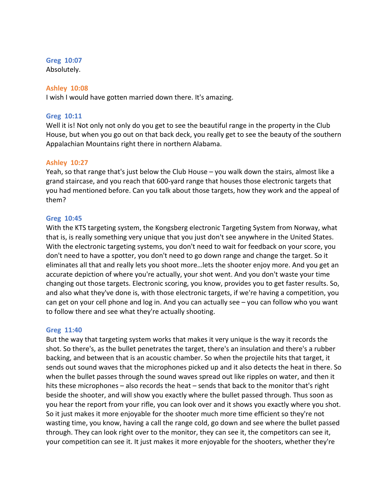## **Greg 10:07**

Absolutely.

## **Ashley 10:08**

I wish I would have gotten married down there. It's amazing.

## **Greg 10:11**

Well it is! Not only not only do you get to see the beautiful range in the property in the Club House, but when you go out on that back deck, you really get to see the beauty of the southern Appalachian Mountains right there in northern Alabama.

## **Ashley 10:27**

Yeah, so that range that's just below the Club House – you walk down the stairs, almost like a grand staircase, and you reach that 600-yard range that houses those electronic targets that you had mentioned before. Can you talk about those targets, how they work and the appeal of them?

## **Greg 10:45**

With the KTS targeting system, the Kongsberg electronic Targeting System from Norway, what that is, is really something very unique that you just don't see anywhere in the United States. With the electronic targeting systems, you don't need to wait for feedback on your score, you don't need to have a spotter, you don't need to go down range and change the target. So it eliminates all that and really lets you shoot more…lets the shooter enjoy more. And you get an accurate depiction of where you're actually, your shot went. And you don't waste your time changing out those targets. Electronic scoring, you know, provides you to get faster results. So, and also what they've done is, with those electronic targets, if we're having a competition, you can get on your cell phone and log in. And you can actually see – you can follow who you want to follow there and see what they're actually shooting.

### **Greg 11:40**

But the way that targeting system works that makes it very unique is the way it records the shot. So there's, as the bullet penetrates the target, there's an insulation and there's a rubber backing, and between that is an acoustic chamber. So when the projectile hits that target, it sends out sound waves that the microphones picked up and it also detects the heat in there. So when the bullet passes through the sound waves spread out like ripples on water, and then it hits these microphones – also records the heat – sends that back to the monitor that's right beside the shooter, and will show you exactly where the bullet passed through. Thus soon as you hear the report from your rifle, you can look over and it shows you exactly where you shot. So it just makes it more enjoyable for the shooter much more time efficient so they're not wasting time, you know, having a call the range cold, go down and see where the bullet passed through. They can look right over to the monitor, they can see it, the competitors can see it, your competition can see it. It just makes it more enjoyable for the shooters, whether they're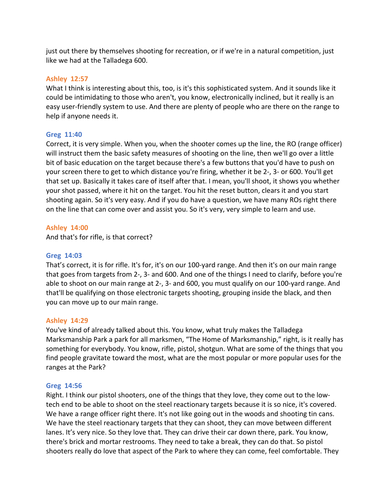just out there by themselves shooting for recreation, or if we're in a natural competition, just like we had at the Talladega 600.

## **Ashley 12:57**

What I think is interesting about this, too, is it's this sophisticated system. And it sounds like it could be intimidating to those who aren't, you know, electronically inclined, but it really is an easy user-friendly system to use. And there are plenty of people who are there on the range to help if anyone needs it.

## **Greg 11:40**

Correct, it is very simple. When you, when the shooter comes up the line, the RO (range officer) will instruct them the basic safety measures of shooting on the line, then we'll go over a little bit of basic education on the target because there's a few buttons that you'd have to push on your screen there to get to which distance you're firing, whether it be 2-, 3- or 600. You'll get that set up. Basically it takes care of itself after that. I mean, you'll shoot, it shows you whether your shot passed, where it hit on the target. You hit the reset button, clears it and you start shooting again. So it's very easy. And if you do have a question, we have many ROs right there on the line that can come over and assist you. So it's very, very simple to learn and use.

## **Ashley 14:00**

And that's for rifle, is that correct?

### **Greg 14:03**

That's correct, it is for rifle. It's for, it's on our 100-yard range. And then it's on our main range that goes from targets from 2-, 3- and 600. And one of the things I need to clarify, before you're able to shoot on our main range at 2-, 3- and 600, you must qualify on our 100-yard range. And that'll be qualifying on those electronic targets shooting, grouping inside the black, and then you can move up to our main range.

### **Ashley 14:29**

You've kind of already talked about this. You know, what truly makes the Talladega Marksmanship Park a park for all marksmen, "The Home of Marksmanship," right, is it really has something for everybody. You know, rifle, pistol, shotgun. What are some of the things that you find people gravitate toward the most, what are the most popular or more popular uses for the ranges at the Park?

### **Greg 14:56**

Right. I think our pistol shooters, one of the things that they love, they come out to the lowtech end to be able to shoot on the steel reactionary targets because it is so nice, it's covered. We have a range officer right there. It's not like going out in the woods and shooting tin cans. We have the steel reactionary targets that they can shoot, they can move between different lanes. It's very nice. So they love that. They can drive their car down there, park. You know, there's brick and mortar restrooms. They need to take a break, they can do that. So pistol shooters really do love that aspect of the Park to where they can come, feel comfortable. They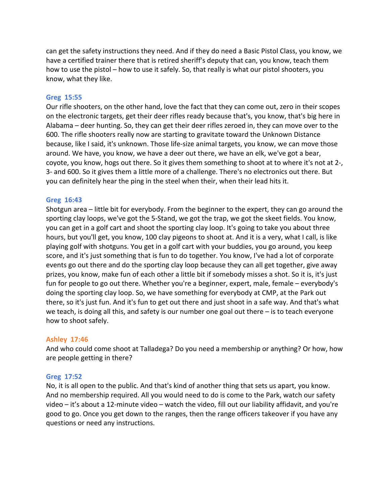can get the safety instructions they need. And if they do need a Basic Pistol Class, you know, we have a certified trainer there that is retired sheriff's deputy that can, you know, teach them how to use the pistol – how to use it safely. So, that really is what our pistol shooters, you know, what they like.

#### **Greg 15:55**

Our rifle shooters, on the other hand, love the fact that they can come out, zero in their scopes on the electronic targets, get their deer rifles ready because that's, you know, that's big here in Alabama – deer hunting. So, they can get their deer rifles zeroed in, they can move over to the 600. The rifle shooters really now are starting to gravitate toward the Unknown Distance because, like I said, it's unknown. Those life-size animal targets, you know, we can move those around. We have, you know, we have a deer out there, we have an elk, we've got a bear, coyote, you know, hogs out there. So it gives them something to shoot at to where it's not at 2-, 3- and 600. So it gives them a little more of a challenge. There's no electronics out there. But you can definitely hear the ping in the steel when their, when their lead hits it.

#### **Greg 16:43**

Shotgun area – little bit for everybody. From the beginner to the expert, they can go around the sporting clay loops, we've got the 5-Stand, we got the trap, we got the skeet fields. You know, you can get in a golf cart and shoot the sporting clay loop. It's going to take you about three hours, but you'll get, you know, 100 clay pigeons to shoot at. And it is a very, what I call, is like playing golf with shotguns. You get in a golf cart with your buddies, you go around, you keep score, and it's just something that is fun to do together. You know, I've had a lot of corporate events go out there and do the sporting clay loop because they can all get together, give away prizes, you know, make fun of each other a little bit if somebody misses a shot. So it is, it's just fun for people to go out there. Whether you're a beginner, expert, male, female – everybody's doing the sporting clay loop. So, we have something for everybody at CMP, at the Park out there, so it's just fun. And it's fun to get out there and just shoot in a safe way. And that's what we teach, is doing all this, and safety is our number one goal out there – is to teach everyone how to shoot safely.

### **Ashley 17:46**

And who could come shoot at Talladega? Do you need a membership or anything? Or how, how are people getting in there?

### **Greg 17:52**

No, it is all open to the public. And that's kind of another thing that sets us apart, you know. And no membership required. All you would need to do is come to the Park, watch our safety video – it's about a 12-minute video – watch the video, fill out our liability affidavit, and you're good to go. Once you get down to the ranges, then the range officers takeover if you have any questions or need any instructions.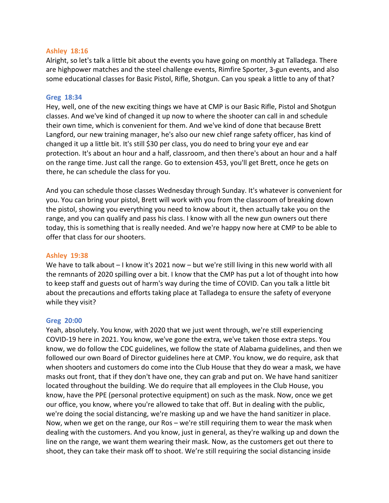## **Ashley 18:16**

Alright, so let's talk a little bit about the events you have going on monthly at Talladega. There are highpower matches and the steel challenge events, Rimfire Sporter, 3-gun events, and also some educational classes for Basic Pistol, Rifle, Shotgun. Can you speak a little to any of that?

#### **Greg 18:34**

Hey, well, one of the new exciting things we have at CMP is our Basic Rifle, Pistol and Shotgun classes. And we've kind of changed it up now to where the shooter can call in and schedule their own time, which is convenient for them. And we've kind of done that because Brett Langford, our new training manager, he's also our new chief range safety officer, has kind of changed it up a little bit. It's still \$30 per class, you do need to bring your eye and ear protection. It's about an hour and a half, classroom, and then there's about an hour and a half on the range time. Just call the range. Go to extension 453, you'll get Brett, once he gets on there, he can schedule the class for you.

And you can schedule those classes Wednesday through Sunday. It's whatever is convenient for you. You can bring your pistol, Brett will work with you from the classroom of breaking down the pistol, showing you everything you need to know about it, then actually take you on the range, and you can qualify and pass his class. I know with all the new gun owners out there today, this is something that is really needed. And we're happy now here at CMP to be able to offer that class for our shooters.

### **Ashley 19:38**

We have to talk about – I know it's 2021 now – but we're still living in this new world with all the remnants of 2020 spilling over a bit. I know that the CMP has put a lot of thought into how to keep staff and guests out of harm's way during the time of COVID. Can you talk a little bit about the precautions and efforts taking place at Talladega to ensure the safety of everyone while they visit?

### **Greg 20:00**

Yeah, absolutely. You know, with 2020 that we just went through, we're still experiencing COVID-19 here in 2021. You know, we've gone the extra, we've taken those extra steps. You know, we do follow the CDC guidelines, we follow the state of Alabama guidelines, and then we followed our own Board of Director guidelines here at CMP. You know, we do require, ask that when shooters and customers do come into the Club House that they do wear a mask, we have masks out front, that if they don't have one, they can grab and put on. We have hand sanitizer located throughout the building. We do require that all employees in the Club House, you know, have the PPE (personal protective equipment) on such as the mask. Now, once we get our office, you know, where you're allowed to take that off. But in dealing with the public, we're doing the social distancing, we're masking up and we have the hand sanitizer in place. Now, when we get on the range, our Ros – we're still requiring them to wear the mask when dealing with the customers. And you know, just in general, as they're walking up and down the line on the range, we want them wearing their mask. Now, as the customers get out there to shoot, they can take their mask off to shoot. We're still requiring the social distancing inside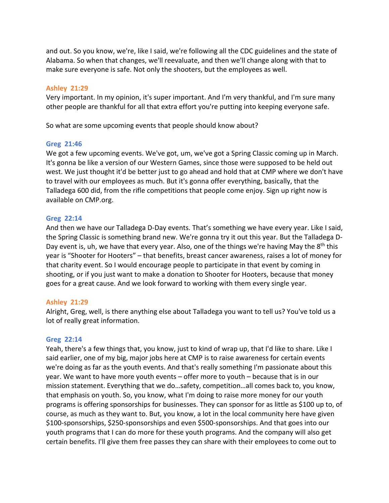and out. So you know, we're, like I said, we're following all the CDC guidelines and the state of Alabama. So when that changes, we'll reevaluate, and then we'll change along with that to make sure everyone is safe. Not only the shooters, but the employees as well.

## **Ashley 21:29**

Very important. In my opinion, it's super important. And I'm very thankful, and I'm sure many other people are thankful for all that extra effort you're putting into keeping everyone safe.

So what are some upcoming events that people should know about?

## **Greg 21:46**

We got a few upcoming events. We've got, um, we've got a Spring Classic coming up in March. It's gonna be like a version of our Western Games, since those were supposed to be held out west. We just thought it'd be better just to go ahead and hold that at CMP where we don't have to travel with our employees as much. But it's gonna offer everything, basically, that the Talladega 600 did, from the rifle competitions that people come enjoy. Sign up right now is available on CMP.org.

## **Greg 22:14**

And then we have our Talladega D-Day events. That's something we have every year. Like I said, the Spring Classic is something brand new. We're gonna try it out this year. But the Talladega D-Day event is, uh, we have that every year. Also, one of the things we're having May the 8<sup>th</sup> this year is "Shooter for Hooters" – that benefits, breast cancer awareness, raises a lot of money for that charity event. So I would encourage people to participate in that event by coming in shooting, or if you just want to make a donation to Shooter for Hooters, because that money goes for a great cause. And we look forward to working with them every single year.

# **Ashley 21:29**

Alright, Greg, well, is there anything else about Talladega you want to tell us? You've told us a lot of really great information.

### **Greg 22:14**

Yeah, there's a few things that, you know, just to kind of wrap up, that I'd like to share. Like I said earlier, one of my big, major jobs here at CMP is to raise awareness for certain events we're doing as far as the youth events. And that's really something I'm passionate about this year. We want to have more youth events – offer more to youth – because that is in our mission statement. Everything that we do…safety, competition…all comes back to, you know, that emphasis on youth. So, you know, what I'm doing to raise more money for our youth programs is offering sponsorships for businesses. They can sponsor for as little as \$100 up to, of course, as much as they want to. But, you know, a lot in the local community here have given \$100-sponsorships, \$250-sponsorships and even \$500-sponsorships. And that goes into our youth programs that I can do more for these youth programs. And the company will also get certain benefits. I'll give them free passes they can share with their employees to come out to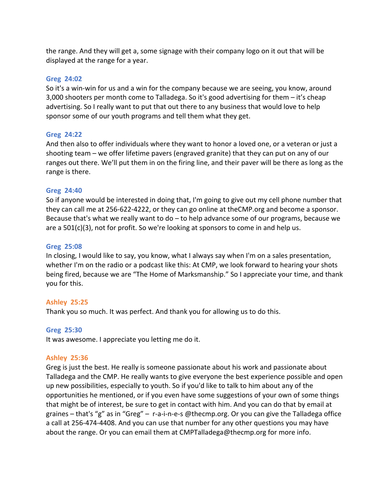the range. And they will get a, some signage with their company logo on it out that will be displayed at the range for a year.

#### **Greg 24:02**

So it's a win-win for us and a win for the company because we are seeing, you know, around 3,000 shooters per month come to Talladega. So it's good advertising for them – it's cheap advertising. So I really want to put that out there to any business that would love to help sponsor some of our youth programs and tell them what they get.

### **Greg 24:22**

And then also to offer individuals where they want to honor a loved one, or a veteran or just a shooting team – we offer lifetime pavers (engraved granite) that they can put on any of our ranges out there. We'll put them in on the firing line, and their paver will be there as long as the range is there.

### **Greg 24:40**

So if anyone would be interested in doing that, I'm going to give out my cell phone number that they can call me at 256-622-4222, or they can go online at theCMP.org and become a sponsor. Because that's what we really want to do – to help advance some of our programs, because we are a 501(c)(3), not for profit. So we're looking at sponsors to come in and help us.

#### **Greg 25:08**

In closing, I would like to say, you know, what I always say when I'm on a sales presentation, whether I'm on the radio or a podcast like this: At CMP, we look forward to hearing your shots being fired, because we are "The Home of Marksmanship." So I appreciate your time, and thank you for this.

### **Ashley 25:25**

Thank you so much. It was perfect. And thank you for allowing us to do this.

#### **Greg 25:30**

It was awesome. I appreciate you letting me do it.

#### **Ashley 25:36**

Greg is just the best. He really is someone passionate about his work and passionate about Talladega and the CMP. He really wants to give everyone the best experience possible and open up new possibilities, especially to youth. So if you'd like to talk to him about any of the opportunities he mentioned, or if you even have some suggestions of your own of some things that might be of interest, be sure to get in contact with him. And you can do that by email at graines – that's "g" as in "Greg" – r-a-i-n-e-s @thecmp.org. Or you can give the Talladega office a call at 256-474-4408. And you can use that number for any other questions you may have about the range. Or you can email them at CMPTalladega@thecmp.org for more info.